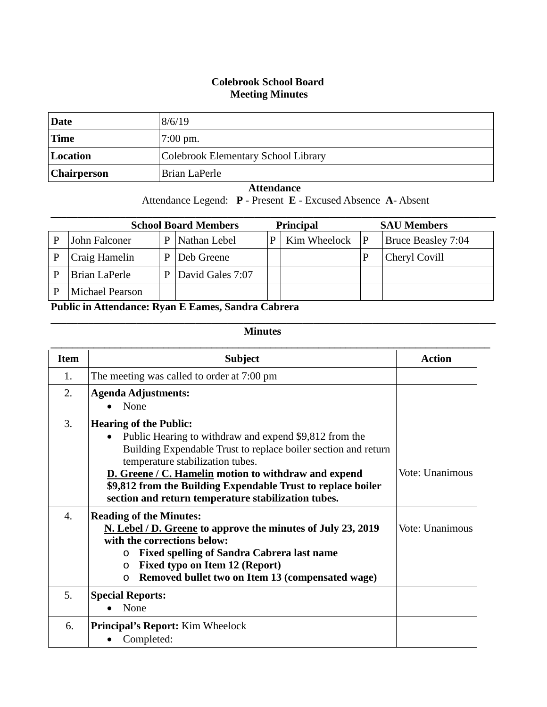## **Colebrook School Board Meeting Minutes**

| Date               | 8/6/19                              |
|--------------------|-------------------------------------|
| <b>Time</b>        | $7:00 \text{ pm}$ .                 |
| Location           | Colebrook Elementary School Library |
| <b>Chairperson</b> | Brian LaPerle                       |

## **Attendance**

Attendance Legend: **P** - Present **E** - Excused Absence **A**- Absent

| <b>Principal</b><br><b>School Board Members</b> |                        |   |                  | <b>SAU Members</b> |                    |                           |
|-------------------------------------------------|------------------------|---|------------------|--------------------|--------------------|---------------------------|
|                                                 | John Falconer          | P | Nathan Lebel     | P                  | Kim Wheelock $ P $ | <b>Bruce Beasley 7:04</b> |
|                                                 | Craig Hamelin          | D | Deb Greene       |                    |                    | Cheryl Covill             |
|                                                 | Brian LaPerle          | D | David Gales 7:07 |                    |                    |                           |
|                                                 | <b>Michael Pearson</b> |   |                  |                    |                    |                           |

**Public in Attendance: Ryan E Eames, Sandra Cabrera**

## **Minutes**

**\_\_\_\_\_\_\_\_\_\_\_\_\_\_\_\_\_\_\_\_\_\_\_\_\_\_\_\_\_\_\_\_\_\_\_\_\_\_\_\_\_\_\_\_\_\_\_\_\_\_\_\_\_\_\_\_\_\_\_\_\_\_\_\_\_\_\_\_\_\_\_\_\_\_\_\_\_\_\_\_\_\_\_**

| <b>Item</b>      | <b>Subject</b>                                                                                                                                                                                                                                                                                                                                                                            | <b>Action</b>   |
|------------------|-------------------------------------------------------------------------------------------------------------------------------------------------------------------------------------------------------------------------------------------------------------------------------------------------------------------------------------------------------------------------------------------|-----------------|
| 1.               | The meeting was called to order at 7:00 pm                                                                                                                                                                                                                                                                                                                                                |                 |
| 2.               | <b>Agenda Adjustments:</b><br>None                                                                                                                                                                                                                                                                                                                                                        |                 |
| 3.               | <b>Hearing of the Public:</b><br>Public Hearing to withdraw and expend \$9,812 from the<br>$\bullet$<br>Building Expendable Trust to replace boiler section and return<br>temperature stabilization tubes.<br>D. Greene / C. Hamelin motion to withdraw and expend<br>\$9,812 from the Building Expendable Trust to replace boiler<br>section and return temperature stabilization tubes. | Vote: Unanimous |
| $\overline{4}$ . | <b>Reading of the Minutes:</b><br>N. Lebel / D. Greene to approve the minutes of July 23, 2019<br>with the corrections below:<br><b>Fixed spelling of Sandra Cabrera last name</b><br>$\circ$<br>Fixed typo on Item 12 (Report)<br>$\circ$<br>Removed bullet two on Item 13 (compensated wage)<br>$\circ$                                                                                 | Vote: Unanimous |
| 5.               | <b>Special Reports:</b><br>None                                                                                                                                                                                                                                                                                                                                                           |                 |
| 6.               | <b>Principal's Report:</b> Kim Wheelock<br>Completed:                                                                                                                                                                                                                                                                                                                                     |                 |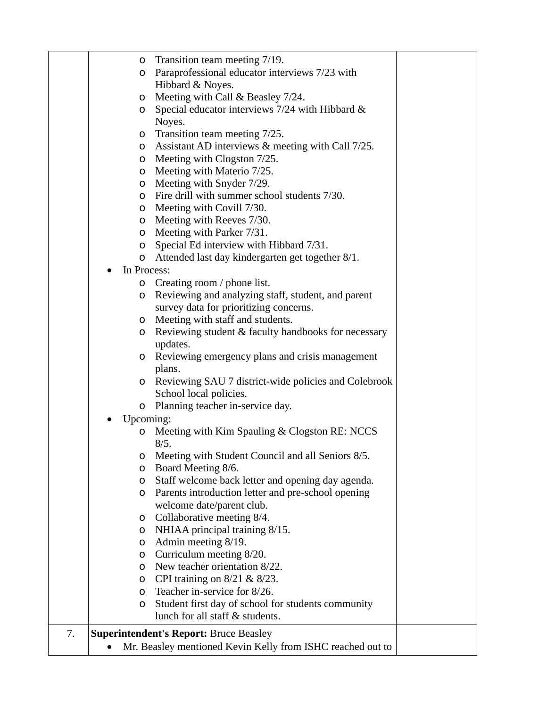|    | Transition team meeting 7/19.<br>$\circ$                             |  |
|----|----------------------------------------------------------------------|--|
|    | Paraprofessional educator interviews 7/23 with<br>$\circ$            |  |
|    | Hibbard & Noyes.                                                     |  |
|    | Meeting with Call & Beasley 7/24.<br>$\circ$                         |  |
|    | Special educator interviews $7/24$ with Hibbard &<br>$\circ$         |  |
|    | Noyes.                                                               |  |
|    | Transition team meeting 7/25.<br>$\circ$                             |  |
|    | Assistant AD interviews & meeting with Call 7/25.<br>$\circ$         |  |
|    | Meeting with Clogston 7/25.<br>$\circ$                               |  |
|    | Meeting with Materio 7/25.<br>$\circ$                                |  |
|    | Meeting with Snyder 7/29.<br>$\circ$                                 |  |
|    | o Fire drill with summer school students 7/30.                       |  |
|    | Meeting with Covill 7/30.<br>$\circ$                                 |  |
|    | Meeting with Reeves 7/30.<br>$\circ$                                 |  |
|    | Meeting with Parker 7/31.<br>$\circ$                                 |  |
|    | Special Ed interview with Hibbard 7/31.                              |  |
|    | $\circ$<br>Attended last day kindergarten get together 8/1.          |  |
|    | $\circ$                                                              |  |
|    | In Process:                                                          |  |
|    | Creating room / phone list.<br>$\circ$                               |  |
|    | Reviewing and analyzing staff, student, and parent<br>$\circ$        |  |
|    | survey data for prioritizing concerns.                               |  |
|    | Meeting with staff and students.<br>$\circ$                          |  |
|    | Reviewing student & faculty handbooks for necessary<br>O<br>updates. |  |
|    | Reviewing emergency plans and crisis management<br>$\circ$           |  |
|    | plans.                                                               |  |
|    | Reviewing SAU 7 district-wide policies and Colebrook<br>$\circ$      |  |
|    | School local policies.                                               |  |
|    | Planning teacher in-service day.<br>$\circ$                          |  |
|    | Upcoming:                                                            |  |
|    | Meeting with Kim Spauling & Clogston RE: NCCS                        |  |
|    | 8/5.                                                                 |  |
|    | Meeting with Student Council and all Seniors 8/5.<br>O               |  |
|    | Board Meeting 8/6.<br>O                                              |  |
|    | Staff welcome back letter and opening day agenda.<br>O               |  |
|    | Parents introduction letter and pre-school opening<br>$\circ$        |  |
|    | welcome date/parent club.                                            |  |
|    | Collaborative meeting 8/4.<br>$\circ$                                |  |
|    | NHIAA principal training 8/15.<br>$\circ$                            |  |
|    | Admin meeting 8/19.<br>$\circ$                                       |  |
|    | Curriculum meeting 8/20.<br>$\circ$                                  |  |
|    | New teacher orientation 8/22.<br>$\circ$                             |  |
|    | CPI training on $8/21$ & $8/23$ .<br>$\circ$                         |  |
|    | Teacher in-service for 8/26.<br>$\circ$                              |  |
|    | Student first day of school for students community<br>O              |  |
|    | lunch for all staff & students.                                      |  |
| 7. | <b>Superintendent's Report: Bruce Beasley</b>                        |  |
|    | Mr. Beasley mentioned Kevin Kelly from ISHC reached out to           |  |
|    |                                                                      |  |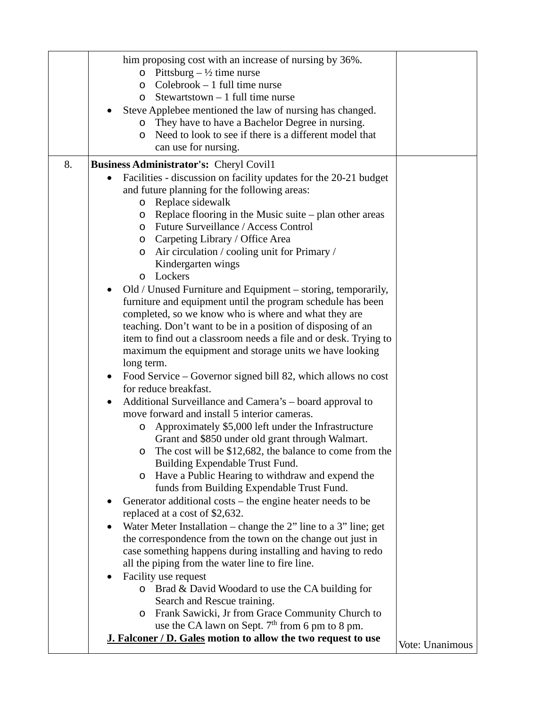|    | him proposing cost with an increase of nursing by 36%.                                     |                 |
|----|--------------------------------------------------------------------------------------------|-----------------|
|    | Pittsburg – $\frac{1}{2}$ time nurse<br>$\circ$                                            |                 |
|    | $Colebrook - 1 full time nurse$<br>O                                                       |                 |
|    | Stewartstown $-1$ full time nurse<br>$\circ$                                               |                 |
|    | Steve Applebee mentioned the law of nursing has changed.                                   |                 |
|    | They have to have a Bachelor Degree in nursing.<br>O                                       |                 |
|    | Need to look to see if there is a different model that<br>$\circ$                          |                 |
|    | can use for nursing.                                                                       |                 |
| 8. | <b>Business Administrator's: Cheryl Covil1</b>                                             |                 |
|    | Facilities - discussion on facility updates for the 20-21 budget                           |                 |
|    | and future planning for the following areas:                                               |                 |
|    | Replace sidewalk<br>O                                                                      |                 |
|    | Replace flooring in the Music suite – plan other areas<br>$\circ$                          |                 |
|    | Future Surveillance / Access Control<br>$\circ$                                            |                 |
|    | Carpeting Library / Office Area<br>O                                                       |                 |
|    | Air circulation / cooling unit for Primary /<br>O                                          |                 |
|    | Kindergarten wings                                                                         |                 |
|    | Lockers<br>$\Omega$                                                                        |                 |
|    | Old / Unused Furniture and Equipment – storing, temporarily,                               |                 |
|    | furniture and equipment until the program schedule has been                                |                 |
|    | completed, so we know who is where and what they are                                       |                 |
|    | teaching. Don't want to be in a position of disposing of an                                |                 |
|    | item to find out a classroom needs a file and or desk. Trying to                           |                 |
|    | maximum the equipment and storage units we have looking                                    |                 |
|    | long term.                                                                                 |                 |
|    | Food Service – Governor signed bill 82, which allows no cost<br>$\bullet$                  |                 |
|    | for reduce breakfast.                                                                      |                 |
|    | Additional Surveillance and Camera's - board approval to<br>$\bullet$                      |                 |
|    | move forward and install 5 interior cameras.                                               |                 |
|    | Approximately \$5,000 left under the Infrastructure<br>$\circ$                             |                 |
|    | Grant and \$850 under old grant through Walmart.                                           |                 |
|    | The cost will be \$12,682, the balance to come from the<br>Building Expendable Trust Fund. |                 |
|    | Have a Public Hearing to withdraw and expend the<br>$\circ$                                |                 |
|    | funds from Building Expendable Trust Fund.                                                 |                 |
|    | Generator additional costs - the engine heater needs to be                                 |                 |
|    | replaced at a cost of \$2,632.                                                             |                 |
|    | Water Meter Installation – change the $2$ " line to a 3" line; get<br>٠                    |                 |
|    | the correspondence from the town on the change out just in                                 |                 |
|    | case something happens during installing and having to redo                                |                 |
|    | all the piping from the water line to fire line.                                           |                 |
|    | Facility use request                                                                       |                 |
|    | Brad & David Woodard to use the CA building for<br>$\circ$                                 |                 |
|    | Search and Rescue training.                                                                |                 |
|    | Frank Sawicki, Jr from Grace Community Church to<br>$\circ$                                |                 |
|    | use the CA lawn on Sept. $7th$ from 6 pm to 8 pm.                                          |                 |
|    | <b>J. Falconer / D. Gales motion to allow the two request to use</b>                       | Vote: Unanimous |
|    |                                                                                            |                 |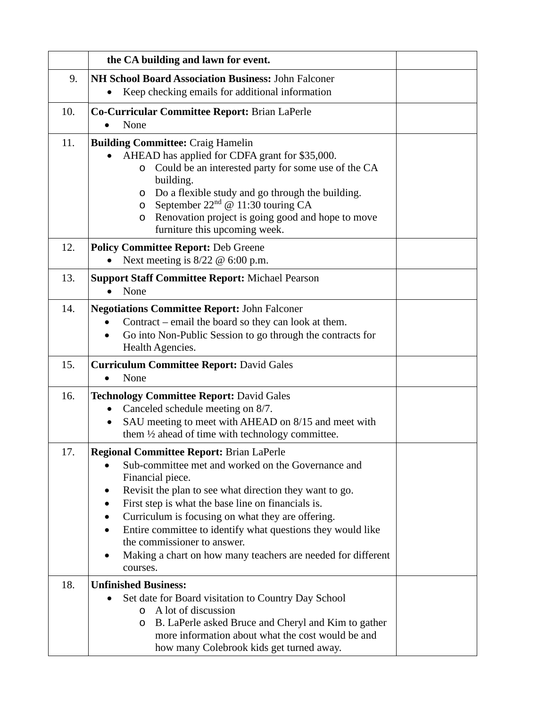|     | the CA building and lawn for event.                                                                                                                                                                                                                                                                                                                                                                                                                                                                       |  |
|-----|-----------------------------------------------------------------------------------------------------------------------------------------------------------------------------------------------------------------------------------------------------------------------------------------------------------------------------------------------------------------------------------------------------------------------------------------------------------------------------------------------------------|--|
| 9.  | <b>NH School Board Association Business: John Falconer</b><br>Keep checking emails for additional information                                                                                                                                                                                                                                                                                                                                                                                             |  |
| 10. | Co-Curricular Committee Report: Brian LaPerle<br>None                                                                                                                                                                                                                                                                                                                                                                                                                                                     |  |
| 11. | <b>Building Committee: Craig Hamelin</b><br>AHEAD has applied for CDFA grant for \$35,000.<br>Could be an interested party for some use of the CA<br>O<br>building.<br>Do a flexible study and go through the building.<br>O<br>September $22nd$ @ 11:30 touring CA<br>O<br>Renovation project is going good and hope to move<br>$\circ$<br>furniture this upcoming week.                                                                                                                                 |  |
| 12. | <b>Policy Committee Report: Deb Greene</b><br>Next meeting is $8/22 \, \textcircled{e} 6:00 \, \text{p.m.}$                                                                                                                                                                                                                                                                                                                                                                                               |  |
| 13. | <b>Support Staff Committee Report: Michael Pearson</b><br>None                                                                                                                                                                                                                                                                                                                                                                                                                                            |  |
| 14. | <b>Negotiations Committee Report: John Falconer</b><br>Contract – email the board so they can look at them.<br>Go into Non-Public Session to go through the contracts for<br>Health Agencies.                                                                                                                                                                                                                                                                                                             |  |
| 15. | <b>Curriculum Committee Report: David Gales</b><br>None<br>$\bullet$                                                                                                                                                                                                                                                                                                                                                                                                                                      |  |
| 16. | <b>Technology Committee Report: David Gales</b><br>Canceled schedule meeting on 8/7.<br>SAU meeting to meet with AHEAD on 8/15 and meet with<br>$\bullet$<br>them $\frac{1}{2}$ ahead of time with technology committee.                                                                                                                                                                                                                                                                                  |  |
| 17. | Regional Committee Report: Brian LaPerle<br>Sub-committee met and worked on the Governance and<br>$\bullet$<br>Financial piece.<br>Revisit the plan to see what direction they want to go.<br>$\bullet$<br>First step is what the base line on financials is.<br>$\bullet$<br>Curriculum is focusing on what they are offering.<br>Entire committee to identify what questions they would like<br>the commissioner to answer.<br>Making a chart on how many teachers are needed for different<br>courses. |  |
| 18. | <b>Unfinished Business:</b><br>Set date for Board visitation to Country Day School<br>A lot of discussion<br>$\circ$<br>B. LaPerle asked Bruce and Cheryl and Kim to gather<br>O<br>more information about what the cost would be and<br>how many Colebrook kids get turned away.                                                                                                                                                                                                                         |  |